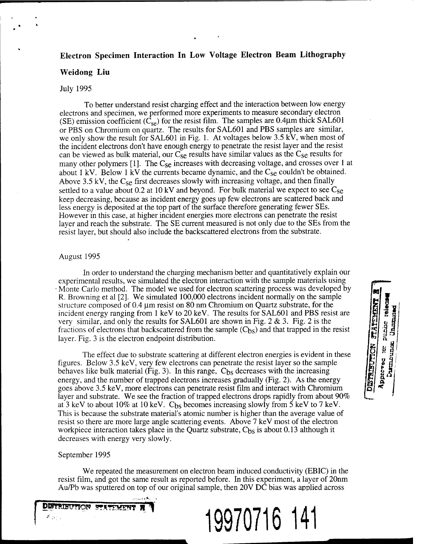# **Electron Specimen Interaction In Low Voltage Electron Beam Lithography**

### **Weidong Liu**

### July 1995

To better understand resist charging effect and the interaction between low energy electrons and specimen, we performed more experiments to measure secondary electron (SE) emission coefficient  $(\tilde{C}_{se})$  for the resist film. The samples are 0.4 $\mu$ m thick SAL601 or PBS on Chromium on quartz. The results for SAL601 and PBS samples are similar, we only show the result for SAL601 in Fig. 1. At voltages below 3.5 kV, when most of the incident electrons don't have enough energy to penetrate the resist layer and the resist can be viewed as bulk material, our  $C_{\text{SE}}$  results have similar values as the  $C_{\text{SE}}$  results for many other polymers [1]. The  $C_{\text{SE}}$  increases with decreasing voltage, and crosses over 1 at about 1 kV. Below 1 kV the currents became dynamic, and the  $C_{\text{se}}$  couldn't be obtained. Above 3.5 kV, the  $C_{\text{SE}}$  first decreases slowly with increasing voltage, and then finally settled to a value about 0.2 at 10 kV and beyond. For bulk material we expect to see  $C_{\text{SE}}$ keep decreasing, because as incident energy goes up few electrons are scattered back and less energy is deposited at the top part of the surface therefore generating fewer SEs. However in this case, at higher incident energies more electrons can penetrate the resist layer and reach the substrate. The SE current measured is not only due to the SEs from the resist layer, but should also include the backscattered electrons from the substrate.

### August 1995

In order to understand the charging mechanism better and quantitatively explain our experimental results, we simulated the electron interaction with the sample materials using • Monte Carlo method. The model we used for electron scattering process was developed by R. Browning et al [2]. We simulated 100,000 electrons incident normally on the sample structure composed of 0.4  $\mu$ m resist on 80 nm Chromium on Quartz substrate, for the incident energy ranging from <sup>1</sup> keV to 20 keV. The results for SAL601 and PBS resist are very similar, and only the results for SAL601 are shown in Fig. 2  $\&$  3. Fig. 2 is the fractions of electrons that backscattered from the sample  $(C_{bs})$  and that trapped in the resist layer. Fig. 3 is the electron endpoint distribution.

The effect due to substrate scattering at different electron energies is evident in these figures. Below 3.5 keV, very few electrons can penetrate the resist layer so the sample behaves like bulk material (Fig. 3). In this range,  $C_{bs}$  decreases with the increasing energy, and the number of trapped electrons increases gradually (Fig. 2). As the energy goes above 3.5 keV, more electrons can penetrate resist film and interact with Chromium layer and substrate. We see the fraction of trapped electrons drops rapidly from about 90% at 3 keV to about 10% at 10 keV.  $C_{bs}$  becomes increasing slowly from 5 keV to 7 keV. This is because the substrate material's atomic number is higher than the average value of resist so there are more large angle scattering events. Above 7 keV most of the electron workpiece interaction takes place in the Quartz substrate,  $C_{bs}$  is about 0.13 although it decreases with energy very slowly.

### September 1995

We repeated the measurement on electron beam induced conductivity (EBIC) in the resist film, and got the same result as reported before. In this experiment, a layer of 20nm Au/Pb was sputtered on top of our original sample, then 20V DC bias was applied across



**19970716 141**

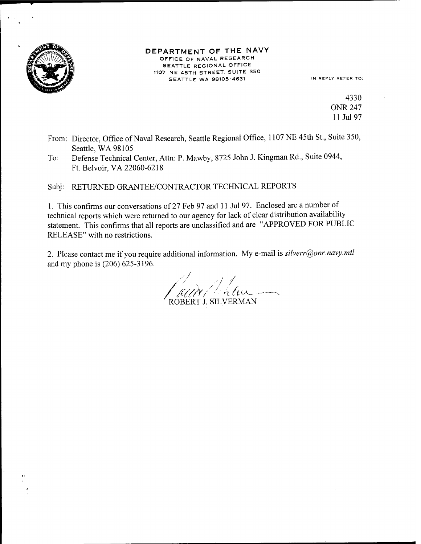

#### DEPARTMENT OF THE NAVY OFFICE OF NAVAL RESEARCH SEATTLE REGIONAL OFFICE 1107 NE 45TH STREET. SUITE 350 SEATTLE WA 98105-4631 IN REPLY REFER TO:

4330 ONR 247 11 Jul 97

- From: Director, Office of Naval Research, Seattle Regional Office, 1107 NE 45th St., Suite 350, Seattle, WA 98105
- To: Defense Technical Center, Atta: P. Mawby, 8725 John J. Kingman Rd., Suite 0944, Ft. Belvoir,VA 22060-6218

Subj: RETURNED GRANTEE/CONTRACTOR TECHNICAL REPORTS

1. This confirms our conversations of 27 Feb 97 and <sup>11</sup> Jul 97. Enclosed are a number of technical reports which were returned to our agency for lack of clear distribution availability statement. This confirms that all reports are unclassified and are "APPROVED FOR PUBLIC RELEASE" with no restrictions.

2. Please contact me if you require additional information. My e-mail is *silverr@onr.navy.mil* and my phone is (206) 625-3196.

*//* **<sup>7</sup>** ROBERT J. SILVERMAN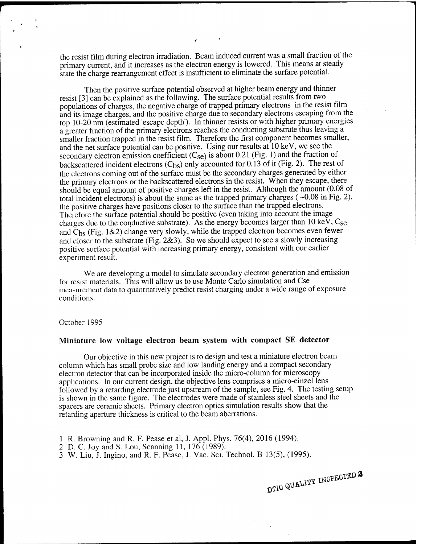the resist film during electron irradiation. Beam induced current was a small fraction of the primary current, and it increases as the electron energy is lowered. This means at steady state the charge rearrangement effect is insufficient to eliminate the surface potential.

Then the positive surface potential observed at higher beam energy and thinner resist [3] can be explained as the following. The surface potential results from two populations of charges, the negative charge of trapped primary electrons in the resist film and its image charges, and the positive charge due to secondary electrons escaping from the top 10-20 nm (estimated 'escape depth'). In thinner resists or with higher primary energies a greater fraction of the primary electrons reaches the conducting substrate thus leaving a smaller fraction trapped in the resist film. Therefore the first component becomes smaller, and the net surface potential can be positive. Using our results at 10 keV, we see the secondary electron emission coefficient  $(C_{se})$  is about 0.21 (Fig. 1) and the fraction of backscattered incident electrons  $(C_{bs})$  only accounted for 0.13 of it (Fig. 2). The rest of the electrons coming out of the surface must be the secondary charges generated by either the primary electrons or the backscattered electrons in the resist. When they escape, there should be equal amount of positive charges left in the resist. Although the amount (0.08 of total incident electrons) is about the same as the trapped primary charges ( $\sim 0.08$  in Fig. 2), the positive charges have positions closer to the surface than the trapped electrons. Therefore the surface potential should be positive (even taking into account the image charges due to the conductive substrate). As the energy becomes larger than 10 keV,  $C_{\text{SE}}$ and  $C_{bs}$  (Fig. 1&2) change very slowly, while the trapped electron becomes even fewer and closer to the substrate (Fig. 2&3). So we should expect to see a slowly increasing positive surface potential with increasing primary energy, consistent with our earlier experiment result.

We are developing a model to simulate secondary electron generation and emission for resist materials. This will allow us to use Monte Carlo simulation and Cse measurement data to quantitatively predict resist charging under a wide range of exposure conditions.

#### October 1995

### **Miniature low voltage electron beam system with compact SE detector**

Our objective in this new project is to design and test a miniature electron beam column which has small probe size and low landing energy and a compact secondary electron detector that can be incorporated inside the micro-column for microscopy applications. In our current design, the objective lens comprises a micro-einzel lens followed by a retarding electrode just upstream of the sample, see Fig. 4. The testing setup is shown in the same figure. The electrodes were made of stainless steel sheets and the spacers are ceramic sheets. Primary electron optics simulation results show that the retarding aperture thickness is critical to the beam aberrations.

- <sup>1</sup> R. Browning and R. F. Pease et al, J. Appl. Phys. 76(4), 2016 (1994).
- 2 D. C. Joy and S. Lou, Scanning 11, 176 (1989).
- 3 W. Liu, J. Ingino, and R. F. Pease, J. Vac. Sei. Technol. B 13(5), (1995).

DTIC QUALITY INSPECTED 2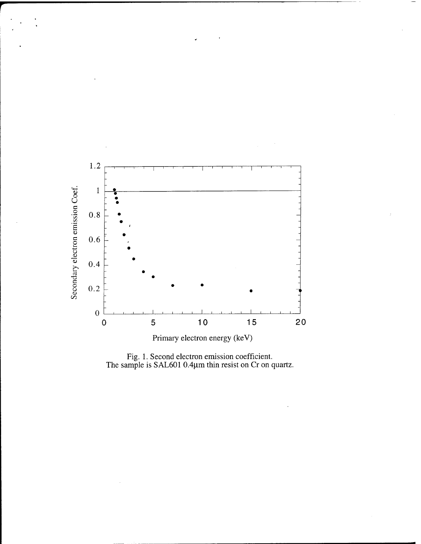

Fig. 1. Second electron emission coefficient.<br>The sample is SAL601 0.4µm thin resist on Cr on quartz.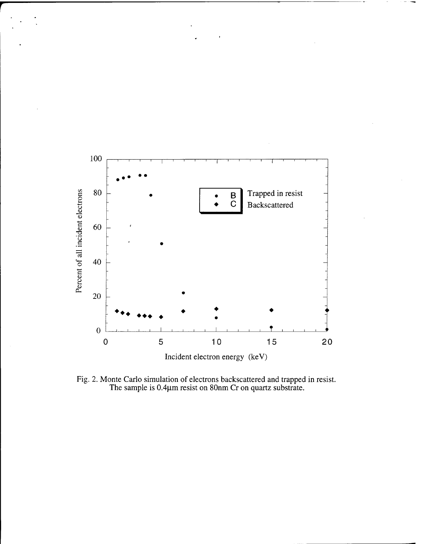

Fig. 2. Monte Carlo simulation of electrons backscattered and trapped in resist.<br>The sample is 0.4 $\mu$ m resist on 80nm Cr on quartz substrate.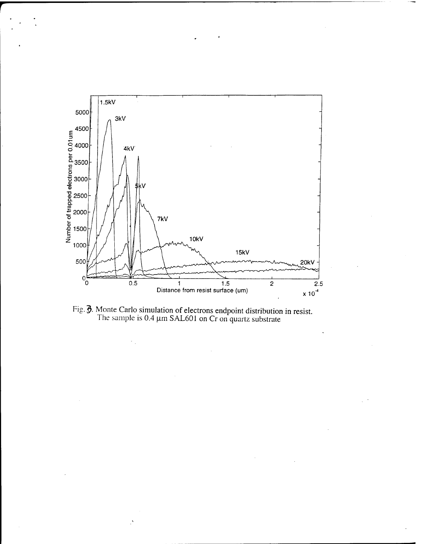

Fig. 9. Monte Carlo simulation of electrons endpoint distribution in resist. The sample is 0.4  $\mu$ m SAL601 on Cr on quartz substrate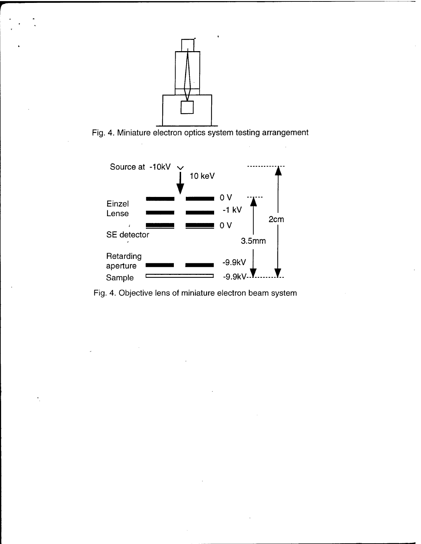

**r**

Fig. 4. Miniature electron optics system testing arrangement



Fig. 4. Objective lens of miniature electron beam system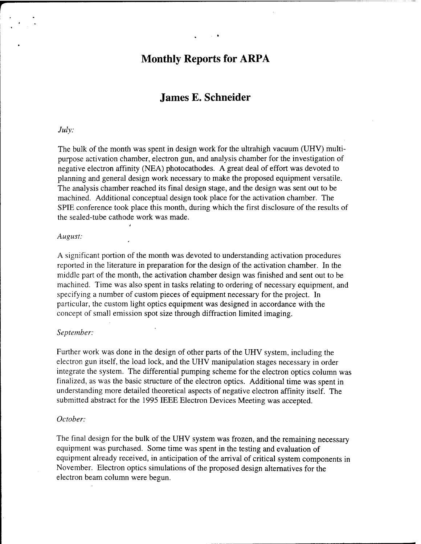# **Monthly Reports for ARPA**

# **James E. Schneider**

## *July:*

The bulk of the month was spent in design work for the ultrahigh vacuum (UHV) multipurpose activation chamber, electron gun, and analysis chamber for the investigation of negative electron affinity (NEA) photocathodes. A great deal of effort was devoted to planning and general design work necessary to make the proposed equipment versatile. The analysis chamber reached its final design stage, and the design was sent out to be machined. Additional conceptual design took place for the activation chamber. The SPIE conference took place this month, during which the first disclosure of the results of the sealed-tube cathode work was made.

#### *August:*

A significant portion of the month was devoted to understanding activation procedures reported in the literature in preparation for the design of the activation chamber. In the middle part of the month, the activation chamber design was finished and sent out to be machined. Time was also spent in tasks relating to ordering of necessary equipment, and specifying a number of custom pieces of equipment necessary for the project. In particular, the custom light optics equipment was designed in accordance with the concept of small emission spot size through diffraction limited imaging.

### *September:*

Further work was done in the design of other parts of the UHV system, including the electron gun itself, the load lock, and the UHV manipulation stages necessary in order integrate the system. The differential pumping scheme for the electron optics column was finalized, as was the basic structure of the electron optics. Additional time was spent in understanding more detailed theoretical aspects of negative electron affinity itself. The submitted abstract for the 1995 IEEE Electron Devices Meeting was accepted.

### *October:*

The final design for the bulk of the UHV system was frozen, and the remaining necessary equipment was purchased. Some time was spent in the testing and evaluation of equipment already received, in anticipation of the arrival of critical system components in November. Electron optics simulations of the proposed design alternatives for the electron beam column were begun.